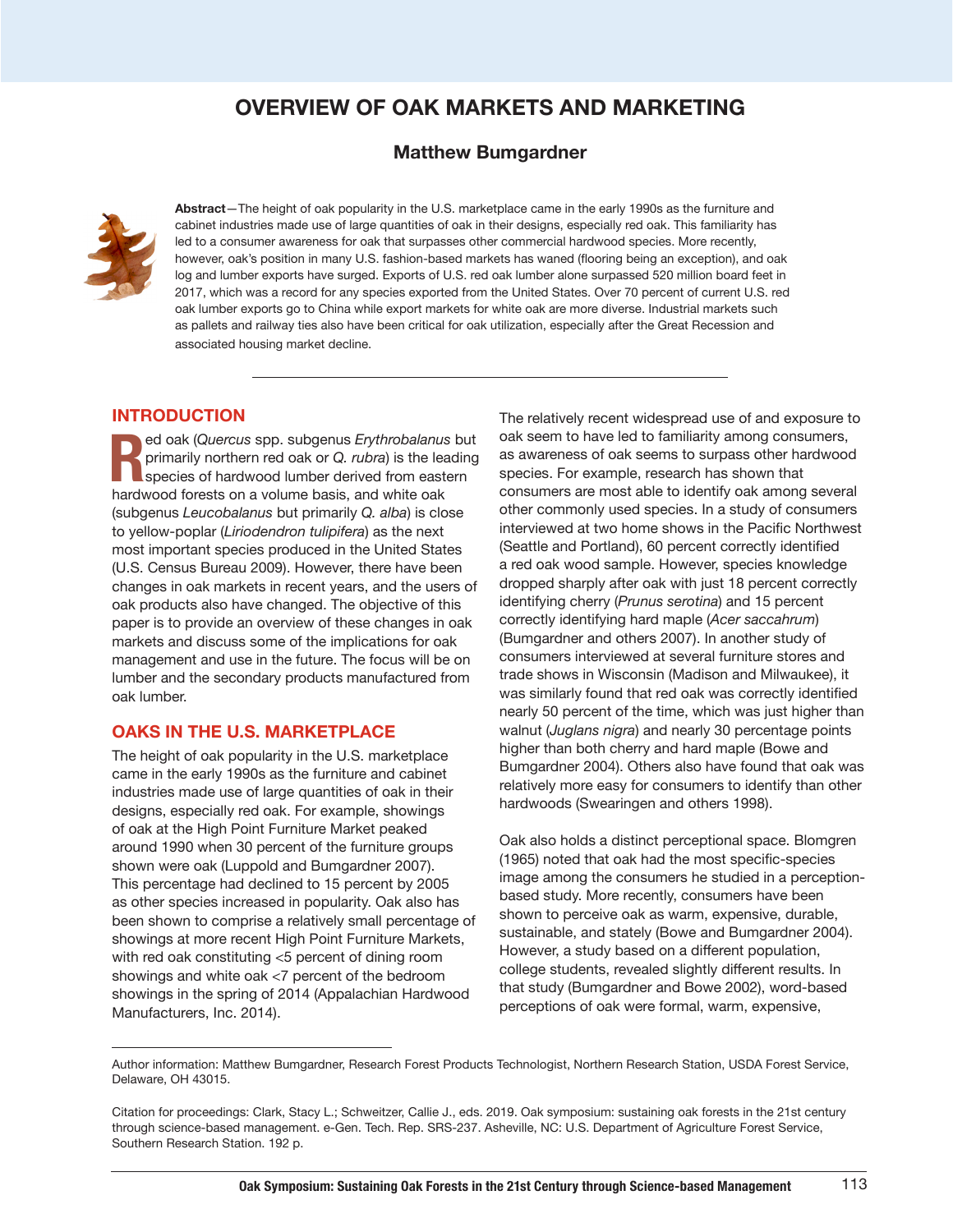# **OVERVIEW OF OAK MARKETS AND MARKETING**

# **Matthew Bumgardner**



**Abstract**—The height of oak popularity in the U.S. marketplace came in the early 1990s as the furniture and cabinet industries made use of large quantities of oak in their designs, especially red oak. This familiarity has led to a consumer awareness for oak that surpasses other commercial hardwood species. More recently, however, oak's position in many U.S. fashion-based markets has waned (flooring being an exception), and oak log and lumber exports have surged. Exports of U.S. red oak lumber alone surpassed 520 million board feet in 2017, which was a record for any species exported from the United States. Over 70 percent of current U.S. red oak lumber exports go to China while export markets for white oak are more diverse. Industrial markets such as pallets and railway ties also have been critical for oak utilization, especially after the Great Recession and associated housing market decline.

## **INTRODUCTION**

**R** ed oak (Quercus spp. subgenus *Erythrobalanus* primarily northern red oak or Q. *rubra*) is the least species of hardwood lumber derived from east hardwood forests on a volume basis, and white oak ed oak (*Quercus* spp. subgenus *Erythrobalanus* but primarily northern red oak or *Q. rubra*) is the leading species of hardwood lumber derived from eastern (subgenus *Leucobalanus* but primarily *Q. alba*) is close to yellow-poplar (*Liriodendron tulipifera*) as the next most important species produced in the United States (U.S. Census Bureau 2009). However, there have been changes in oak markets in recent years, and the users of oak products also have changed. The objective of this paper is to provide an overview of these changes in oak markets and discuss some of the implications for oak management and use in the future. The focus will be on lumber and the secondary products manufactured from oak lumber.

### **OAKS IN THE U.S. MARKETPLACE**

The height of oak popularity in the U.S. marketplace came in the early 1990s as the furniture and cabinet industries made use of large quantities of oak in their designs, especially red oak. For example, showings of oak at the High Point Furniture Market peaked around 1990 when 30 percent of the furniture groups shown were oak (Luppold and Bumgardner 2007). This percentage had declined to 15 percent by 2005 as other species increased in popularity. Oak also has been shown to comprise a relatively small percentage of showings at more recent High Point Furniture Markets, with red oak constituting <5 percent of dining room showings and white oak <7 percent of the bedroom showings in the spring of 2014 (Appalachian Hardwood Manufacturers, Inc. 2014).

The relatively recent widespread use of and exposure to oak seem to have led to familiarity among consumers, as awareness of oak seems to surpass other hardwood species. For example, research has shown that consumers are most able to identify oak among several other commonly used species. In a study of consumers interviewed at two home shows in the Pacific Northwest (Seattle and Portland), 60 percent correctly identified a red oak wood sample. However, species knowledge dropped sharply after oak with just 18 percent correctly identifying cherry (*Prunus serotina*) and 15 percent correctly identifying hard maple (*Acer saccahrum*) (Bumgardner and others 2007). In another study of consumers interviewed at several furniture stores and trade shows in Wisconsin (Madison and Milwaukee), it was similarly found that red oak was correctly identified nearly 50 percent of the time, which was just higher than walnut (*Juglans nigra*) and nearly 30 percentage points higher than both cherry and hard maple (Bowe and Bumgardner 2004). Others also have found that oak was relatively more easy for consumers to identify than other hardwoods (Swearingen and others 1998).

Oak also holds a distinct perceptional space. Blomgren (1965) noted that oak had the most specific-species image among the consumers he studied in a perceptionbased study. More recently, consumers have been shown to perceive oak as warm, expensive, durable, sustainable, and stately (Bowe and Bumgardner 2004). However, a study based on a different population, college students, revealed slightly different results. In that study (Bumgardner and Bowe 2002), word-based perceptions of oak were formal, warm, expensive,

Author information: Matthew Bumgardner, Research Forest Products Technologist, Northern Research Station, USDA Forest Service, Delaware, OH 43015.

Citation for proceedings: Clark, Stacy L.; Schweitzer, Callie J., eds. 2019. Oak symposium: sustaining oak forests in the 21st century through science-based management. e-Gen. Tech. Rep. SRS-237. Asheville, NC: U.S. Department of Agriculture Forest Service, Southern Research Station. 192 p.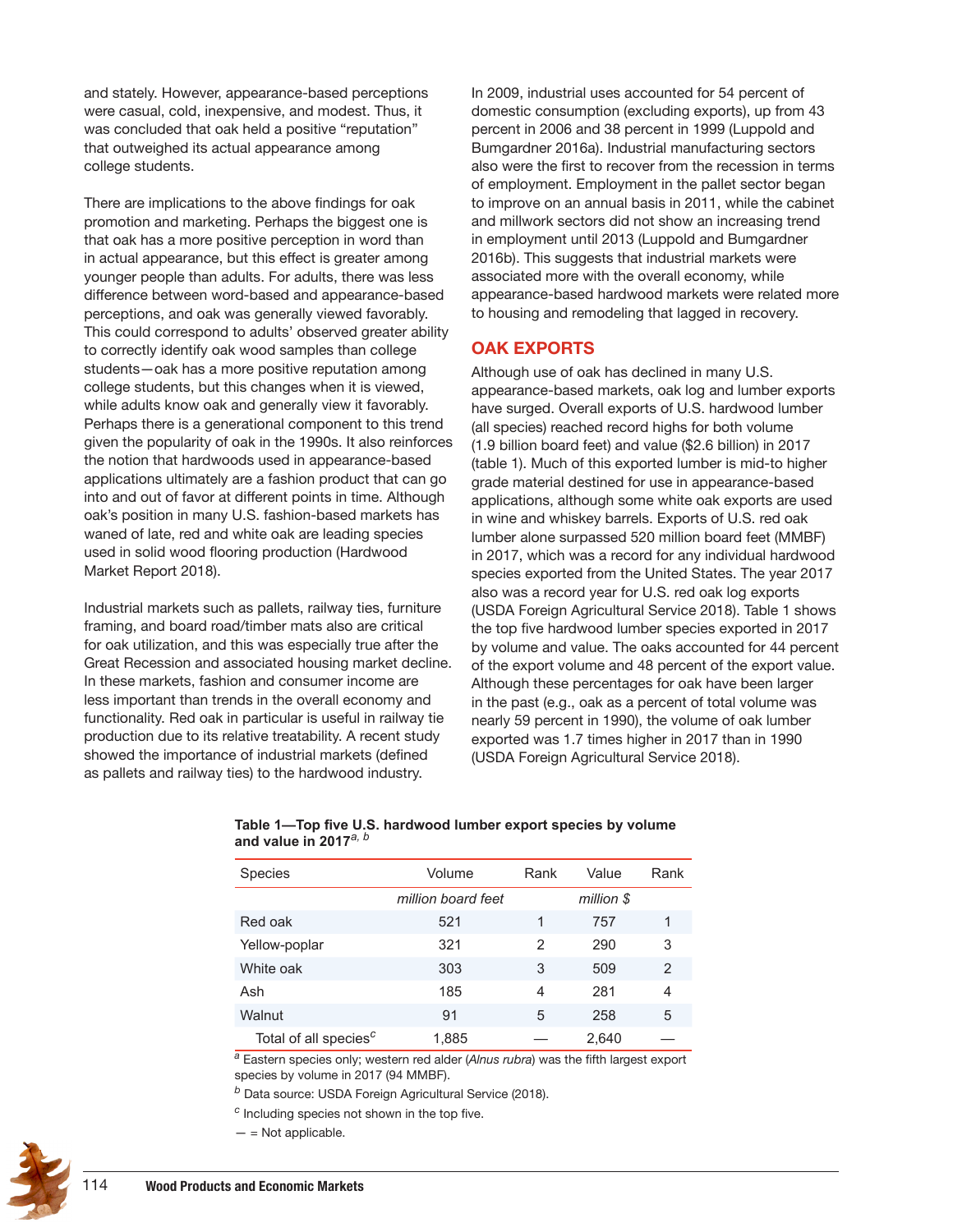and stately. However, appearance-based perceptions were casual, cold, inexpensive, and modest. Thus, it was concluded that oak held a positive "reputation" that outweighed its actual appearance among college students.

There are implications to the above findings for oak promotion and marketing. Perhaps the biggest one is that oak has a more positive perception in word than in actual appearance, but this effect is greater among younger people than adults. For adults, there was less difference between word-based and appearance-based perceptions, and oak was generally viewed favorably. This could correspond to adults' observed greater ability to correctly identify oak wood samples than college students—oak has a more positive reputation among college students, but this changes when it is viewed, while adults know oak and generally view it favorably. Perhaps there is a generational component to this trend given the popularity of oak in the 1990s. It also reinforces the notion that hardwoods used in appearance-based applications ultimately are a fashion product that can go into and out of favor at different points in time. Although oak's position in many U.S. fashion-based markets has waned of late, red and white oak are leading species used in solid wood flooring production (Hardwood Market Report 2018).

Industrial markets such as pallets, railway ties, furniture framing, and board road/timber mats also are critical for oak utilization, and this was especially true after the Great Recession and associated housing market decline. In these markets, fashion and consumer income are less important than trends in the overall economy and functionality. Red oak in particular is useful in railway tie production due to its relative treatability. A recent study showed the importance of industrial markets (defined as pallets and railway ties) to the hardwood industry.

In 2009, industrial uses accounted for 54 percent of domestic consumption (excluding exports), up from 43 percent in 2006 and 38 percent in 1999 (Luppold and Bumgardner 2016a). Industrial manufacturing sectors also were the first to recover from the recession in terms of employment. Employment in the pallet sector began to improve on an annual basis in 2011, while the cabinet and millwork sectors did not show an increasing trend in employment until 2013 (Luppold and Bumgardner 2016b). This suggests that industrial markets were associated more with the overall economy, while appearance-based hardwood markets were related more to housing and remodeling that lagged in recovery.

## **OAK EXPORTS**

Although use of oak has declined in many U.S. appearance-based markets, oak log and lumber exports have surged. Overall exports of U.S. hardwood lumber (all species) reached record highs for both volume (1.9 billion board feet) and value (\$2.6 billion) in 2017 (table 1). Much of this exported lumber is mid-to higher grade material destined for use in appearance-based applications, although some white oak exports are used in wine and whiskey barrels. Exports of U.S. red oak lumber alone surpassed 520 million board feet (MMBF) in 2017, which was a record for any individual hardwood species exported from the United States. The year 2017 also was a record year for U.S. red oak log exports (USDA Foreign Agricultural Service 2018). Table 1 shows the top five hardwood lumber species exported in 2017 by volume and value. The oaks accounted for 44 percent of the export volume and 48 percent of the export value. Although these percentages for oak have been larger in the past (e.g., oak as a percent of total volume was nearly 59 percent in 1990), the volume of oak lumber exported was 1.7 times higher in 2017 than in 1990 (USDA Foreign Agricultural Service 2018).

| <b>Species</b>                    | Volume             | Rank<br>Value |            | Rank |
|-----------------------------------|--------------------|---------------|------------|------|
|                                   | million board feet |               | million \$ |      |
| Red oak                           | 521                | 1             | 757        | 1    |
| Yellow-poplar                     | 321                | $\mathbf{2}$  | 290        | 3    |
| White oak                         | 303                | 3             | 509        | 2    |
| Ash                               | 185                | 4             | 281        | 4    |
| Walnut                            | 91                 | 5             | 258        | 5    |
| Total of all species <sup>c</sup> | 1,885              |               | 2,640      |      |

#### **Table 1—Top five U.S. hardwood lumber export species by volume and value in 2017***a, b*

*<sup>a</sup>* Eastern species only; western red alder (*Alnus rubra*) was the fifth largest export species by volume in 2017 (94 MMBF).

*<sup>b</sup>* Data source: USDA Foreign Agricultural Service (2018).

*<sup>c</sup>* Including species not shown in the top five.